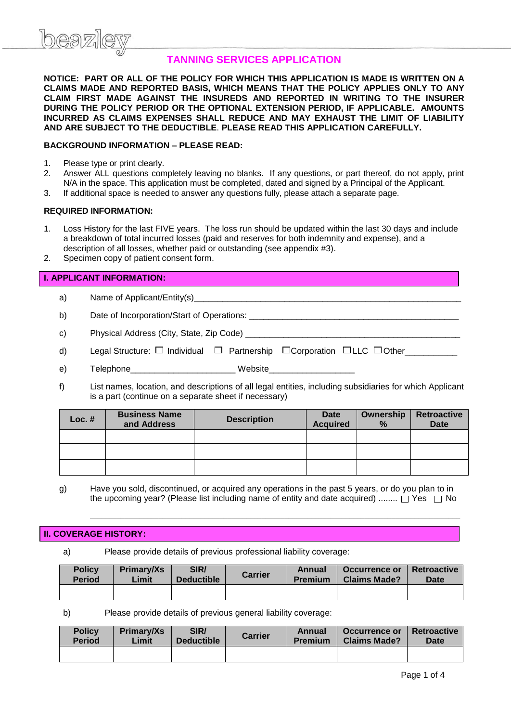# **TANNING SERVICES APPLICATION**

**NOTICE: PART OR ALL OF THE POLICY FOR WHICH THIS APPLICATION IS MADE IS WRITTEN ON A CLAIMS MADE AND REPORTED BASIS, WHICH MEANS THAT THE POLICY APPLIES ONLY TO ANY CLAIM FIRST MADE AGAINST THE INSUREDS AND REPORTED IN WRITING TO THE INSURER DURING THE POLICY PERIOD OR THE OPTIONAL EXTENSION PERIOD, IF APPLICABLE. AMOUNTS INCURRED AS CLAIMS EXPENSES SHALL REDUCE AND MAY EXHAUST THE LIMIT OF LIABILITY AND ARE SUBJECT TO THE DEDUCTIBLE**. **PLEASE READ THIS APPLICATION CAREFULLY.**

# **BACKGROUND INFORMATION – PLEASE READ:**

- 1. Please type or print clearly.
- 2. Answer ALL questions completely leaving no blanks. If any questions, or part thereof, do not apply, print N/A in the space. This application must be completed, dated and signed by a Principal of the Applicant.
- 3. If additional space is needed to answer any questions fully, please attach a separate page.

### **REQUIRED INFORMATION:**

- 1. Loss History for the last FIVE years. The loss run should be updated within the last 30 days and include a breakdown of total incurred losses (paid and reserves for both indemnity and expense), and a description of all losses, whether paid or outstanding (see appendix #3).
- 2. Specimen copy of patient consent form.

# **I. APPLICANT INFORMATION:**

a) Name of Applicant/Entity(s)

b) Date of Incorporation/Start of Operations:

- c) Physical Address (City, State, Zip Code) \_\_\_\_\_\_\_\_\_\_\_\_\_\_\_\_\_\_\_\_\_\_\_\_\_\_\_\_\_\_\_\_\_\_\_\_\_\_\_\_\_\_\_\_\_
- d) Legal Structure: □ Individual □ Partnership □ Corporation □ LLC □ Other\_\_\_\_\_\_\_\_
- e) Telephone **The Contract Contract Contract Contract Contract Contract Contract Contract Contract Contract Contract Contract Contract Contract Contract Contract Contract Contract Contract Contract Contract Contract Contra**
- f) List names, location, and descriptions of all legal entities, including subsidiaries for which Applicant is a part (continue on a separate sheet if necessary)

| $Loc.$ # | <b>Business Name</b><br>and Address | <b>Description</b> | <b>Date</b><br><b>Acquired</b> | <b>Retroactive</b><br>Ownership<br><b>Date</b><br>$\%$ |  |
|----------|-------------------------------------|--------------------|--------------------------------|--------------------------------------------------------|--|
|          |                                     |                    |                                |                                                        |  |
|          |                                     |                    |                                |                                                        |  |
|          |                                     |                    |                                |                                                        |  |

g) Have you sold, discontinued, or acquired any operations in the past 5 years, or do you plan to in the upcoming year? (Please list including name of entity and date acquired) ........  $\Box$  Yes  $\Box$  No

 $\_$  ,  $\_$  ,  $\_$  ,  $\_$  ,  $\_$  ,  $\_$  ,  $\_$  ,  $\_$  ,  $\_$  ,  $\_$  ,  $\_$  ,  $\_$  ,  $\_$  ,  $\_$  ,  $\_$  ,  $\_$  ,  $\_$  ,  $\_$  ,  $\_$  ,  $\_$  ,  $\_$  ,  $\_$  ,  $\_$  ,  $\_$  ,  $\_$  ,  $\_$  ,  $\_$  ,  $\_$  ,  $\_$  ,  $\_$  ,  $\_$  ,  $\_$  ,  $\_$  ,  $\_$  ,  $\_$  ,  $\_$  ,  $\_$  ,

### **II. COVERAGE HISTORY:**

a) Please provide details of previous professional liability coverage:

| <b>Policy</b> | <b>Primary/Xs</b> | SIR/              | <b>Carrier</b> | Annual  | Occurrence or       | <b>Retroactive</b> |  |
|---------------|-------------------|-------------------|----------------|---------|---------------------|--------------------|--|
| <b>Period</b> | Limit             | <b>Deductible</b> |                | Premium | <b>Claims Made?</b> | <b>Date</b>        |  |
|               |                   |                   |                |         |                     |                    |  |

b) Please provide details of previous general liability coverage:

| <b>Policy</b> | Primary/Xs | SIR/              | <b>Carrier</b> | Annual         | Occurrence or       | <b>Retroactive</b> |  |
|---------------|------------|-------------------|----------------|----------------|---------------------|--------------------|--|
| <b>Period</b> | Limit      | <b>Deductible</b> |                | <b>Premium</b> | <b>Claims Made?</b> | <b>Date</b>        |  |
|               |            |                   |                |                |                     |                    |  |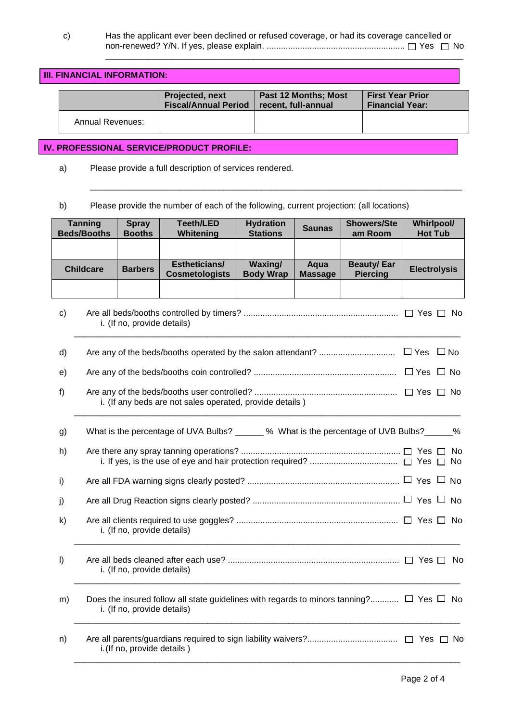\_\_\_\_\_\_\_\_\_\_\_\_\_\_\_\_\_\_\_\_\_\_\_\_\_\_\_\_\_\_\_\_\_\_\_\_\_\_\_\_\_\_\_\_\_\_\_\_\_\_\_\_\_\_\_\_\_\_\_\_\_\_\_\_\_\_\_\_\_\_\_\_\_\_\_\_\_\_

\_\_\_\_\_\_\_\_\_\_\_\_\_\_\_\_\_\_\_\_\_\_\_\_\_\_\_\_\_\_\_\_\_\_\_\_\_\_\_\_\_\_\_\_\_\_\_\_\_\_\_\_\_\_\_\_\_\_\_\_\_\_\_\_\_\_\_\_\_\_\_\_\_\_\_

### **III. FINANCIAL INFORMATION: Projected, next Fiscal/Annual Period Past 12 Months; Most recent, full-annual First Year Prior Financial Year:**  Annual Revenues: **IV. PROFESSIONAL SERVICE/PRODUCT PROFILE:**

a) Please provide a full description of services rendered.

b) Please provide the number of each of the following, current projection: (all locations)

|         | <b>Tanning</b><br><b>Beds/Booths</b>                                                       | <b>Spray</b><br><b>Booths</b> | <b>Teeth/LED</b><br>Whitening                                                                           | <b>Hydration</b><br><b>Stations</b> | <b>Saunas</b>          | <b>Showers/Ste</b><br>am Room        | <b>Whirlpool/</b><br><b>Hot Tub</b> |  |
|---------|--------------------------------------------------------------------------------------------|-------------------------------|---------------------------------------------------------------------------------------------------------|-------------------------------------|------------------------|--------------------------------------|-------------------------------------|--|
|         |                                                                                            |                               |                                                                                                         |                                     |                        |                                      |                                     |  |
|         | <b>Childcare</b>                                                                           | <b>Barbers</b>                | Estheticians/<br><b>Cosmetologists</b>                                                                  | Waxing/<br><b>Body Wrap</b>         | Aqua<br><b>Massage</b> | <b>Beauty/Ear</b><br><b>Piercing</b> | <b>Electrolysis</b>                 |  |
|         |                                                                                            |                               |                                                                                                         |                                     |                        |                                      |                                     |  |
| c)      | i. (If no, provide details)                                                                |                               |                                                                                                         |                                     |                        |                                      |                                     |  |
| d)      |                                                                                            |                               |                                                                                                         |                                     |                        |                                      |                                     |  |
| e)      |                                                                                            |                               |                                                                                                         |                                     |                        |                                      |                                     |  |
| f       | i. (If any beds are not sales operated, provide details)                                   |                               |                                                                                                         |                                     |                        |                                      |                                     |  |
| g)      | What is the percentage of UVA Bulbs? ______ % What is the percentage of UVB Bulbs? _____ % |                               |                                                                                                         |                                     |                        |                                      |                                     |  |
| h)      |                                                                                            |                               |                                                                                                         |                                     |                        |                                      |                                     |  |
| i)      |                                                                                            |                               |                                                                                                         |                                     |                        |                                      |                                     |  |
| j)      |                                                                                            |                               |                                                                                                         |                                     |                        |                                      |                                     |  |
| k)      | i. (If no, provide details)                                                                |                               |                                                                                                         |                                     |                        |                                      |                                     |  |
| $\vert$ | i. (If no, provide details)                                                                |                               |                                                                                                         |                                     |                        |                                      |                                     |  |
| m)      |                                                                                            | i. (If no, provide details)   | Does the insured follow all state guidelines with regards to minors tanning? $\square$ Yes $\square$ No |                                     |                        |                                      |                                     |  |
| n)      |                                                                                            | i. (If no, provide details)   |                                                                                                         |                                     |                        |                                      |                                     |  |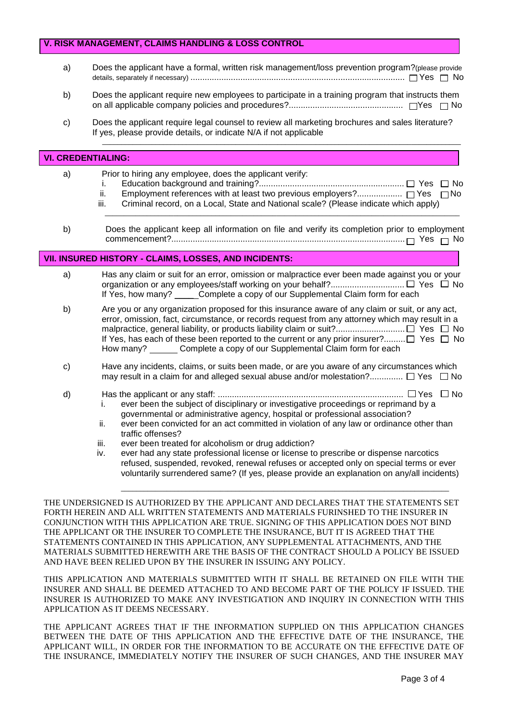# **V. RISK MANAGEMENT, CLAIMS HANDLING & LOSS CONTROL**

- a) Does the applicant have a formal, written risk management/loss prevention program?(please provide details, separately if necessary) .......................................................................................... Yes No
- b) Does the applicant require new employees to participate in a training program that instructs them on all applicable company policies and procedures?................................................ Yes No
- c) Does the applicant require legal counsel to review all marketing brochures and sales literature? If yes, please provide details, or indicate N/A if not applicable

## **VI. CREDENTIALING:**

a) Prior to hiring any employee, does the applicant verify: i. Education background and training?............................................................. Yes No ii. Employment references with at least two previous employers?................... Yes No Criminal record, on a Local, State and National scale? (Please indicate which apply)

\_\_\_\_\_\_\_\_\_\_\_\_\_\_\_\_\_\_\_\_\_\_\_\_\_\_\_\_\_\_\_\_\_\_\_\_\_\_\_\_\_\_\_\_\_\_\_\_\_\_\_\_\_\_\_\_\_\_\_\_\_\_\_\_\_\_\_\_\_\_\_\_\_\_\_\_\_\_\_\_\_\_\_\_\_\_\_\_\_\_\_\_\_\_

\_\_\_\_\_\_\_\_\_\_\_\_\_\_\_\_\_\_\_\_\_\_\_\_\_\_\_\_\_\_\_\_\_\_\_\_\_\_\_\_\_\_\_\_\_\_\_\_\_\_\_\_\_\_\_\_\_\_\_\_\_\_\_\_\_\_\_\_\_\_\_\_\_\_\_\_\_\_\_\_\_\_\_\_\_\_\_\_\_\_\_\_\_

b) Does the applicant keep all information on file and verify its completion prior to employment commencement?.................................................................................................. Yes No

# **VII. INSURED HISTORY - CLAIMS, LOSSES, AND INCIDENTS:**

- a) Has any claim or suit for an error, omission or malpractice ever been made against you or your organization or any employees/staff working on your behalf?............................... Yes No If Yes, how many? \_\_\_\_ Complete a copy of our Supplemental Claim form for each
- b) Are you or any organization proposed for this insurance aware of any claim or suit, or any act, error, omission, fact, circumstance, or records request from any attorney which may result in a malpractice, general liability, or products liability claim or suit?............................. Yes No If Yes, has each of these been reported to the current or any prior insurer?......... $\Box$  Yes  $\Box$  No How many? Complete a copy of our Supplemental Claim form for each
- c) Have any incidents, claims, or suits been made, or are you aware of any circumstances which may result in a claim for and alleged sexual abuse and/or molestation? $\ldots$ .............  $\Box$  Yes  $\Box$  No
- d) Has the applicant or any staff: .............................................................................. Yes No i. ever been the subject of disciplinary or investigative proceedings or reprimand by a governmental or administrative agency, hospital or professional association?
	- ii. ever been convicted for an act committed in violation of any law or ordinance other than traffic offenses?
	- iii. ever been treated for alcoholism or drug addiction?
	- iv. ever had any state professional license or license to prescribe or dispense narcotics refused, suspended, revoked, renewal refuses or accepted only on special terms or ever voluntarily surrendered same? (If yes, please provide an explanation on any/all incidents)

\_\_\_\_\_\_\_\_\_\_\_\_\_\_\_\_\_\_\_\_\_\_\_\_\_\_\_\_\_\_\_\_\_\_\_\_\_\_\_\_\_\_\_\_\_\_\_\_\_\_\_\_\_\_\_\_\_\_\_\_\_\_\_\_\_\_\_\_\_\_\_\_\_\_\_\_\_\_\_\_\_\_\_\_\_\_

THE UNDERSIGNED IS AUTHORIZED BY THE APPLICANT AND DECLARES THAT THE STATEMENTS SET FORTH HEREIN AND ALL WRITTEN STATEMENTS AND MATERIALS FURINSHED TO THE INSURER IN CONJUNCTION WITH THIS APPLICATION ARE TRUE. SIGNING OF THIS APPLICATION DOES NOT BIND THE APPLICANT OR THE INSURER TO COMPLETE THE INSURANCE, BUT IT IS AGREED THAT THE STATEMENTS CONTAINED IN THIS APPLICATION, ANY SUPPLEMENTAL ATTACHMENTS, AND THE MATERIALS SUBMITTED HEREWITH ARE THE BASIS OF THE CONTRACT SHOULD A POLICY BE ISSUED AND HAVE BEEN RELIED UPON BY THE INSURER IN ISSUING ANY POLICY.

THIS APPLICATION AND MATERIALS SUBMITTED WITH IT SHALL BE RETAINED ON FILE WITH THE INSURER AND SHALL BE DEEMED ATTACHED TO AND BECOME PART OF THE POLICY IF ISSUED. THE INSURER IS AUTHORIZED TO MAKE ANY INVESTIGATION AND INQUIRY IN CONNECTION WITH THIS APPLICATION AS IT DEEMS NECESSARY.

THE APPLICANT AGREES THAT IF THE INFORMATION SUPPLIED ON THIS APPLICATION CHANGES BETWEEN THE DATE OF THIS APPLICATION AND THE EFFECTIVE DATE OF THE INSURANCE, THE APPLICANT WILL, IN ORDER FOR THE INFORMATION TO BE ACCURATE ON THE EFFECTIVE DATE OF THE INSURANCE, IMMEDIATELY NOTIFY THE INSURER OF SUCH CHANGES, AND THE INSURER MAY